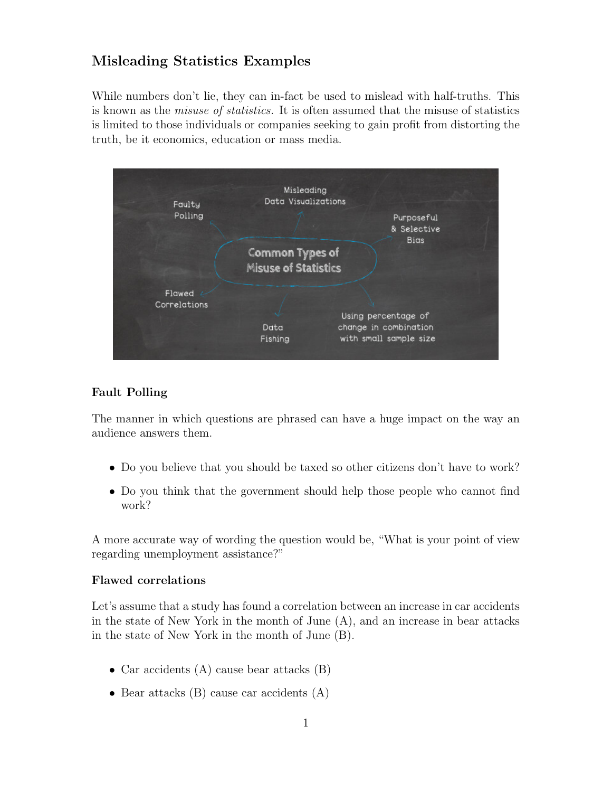## Misleading Statistics Examples

While numbers don't lie, they can in-fact be used to mislead with half-truths. This is known as the misuse of statistics. It is often assumed that the misuse of statistics is limited to those individuals or companies seeking to gain profit from distorting the truth, be it economics, education or mass media.



#### Fault Polling

The manner in which questions are phrased can have a huge impact on the way an audience answers them.

- Do you believe that you should be taxed so other citizens don't have to work?
- Do you think that the government should help those people who cannot find work?

A more accurate way of wording the question would be, "What is your point of view regarding unemployment assistance?"

#### Flawed correlations

Let's assume that a study has found a correlation between an increase in car accidents in the state of New York in the month of June (A), and an increase in bear attacks in the state of New York in the month of June (B).

- Car accidents (A) cause bear attacks (B)
- Bear attacks  $(B)$  cause car accidents  $(A)$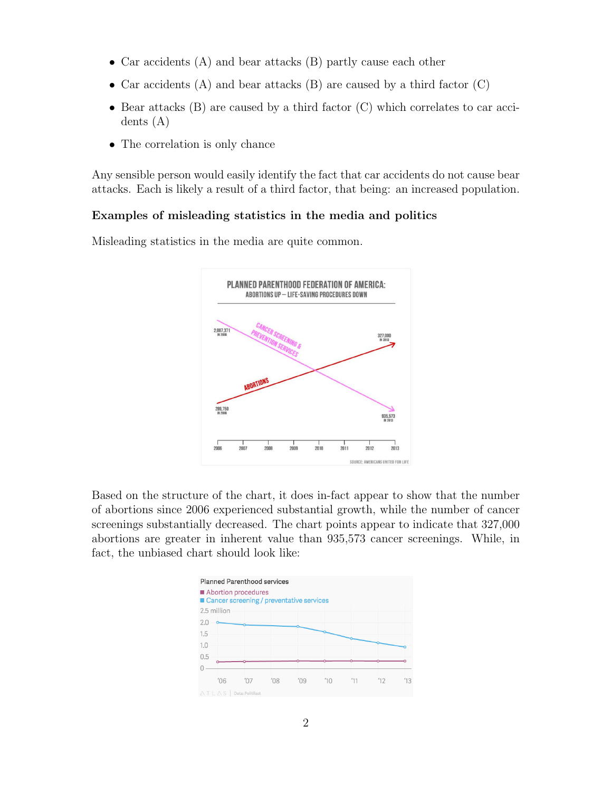- Car accidents (A) and bear attacks (B) partly cause each other
- Car accidents  $(A)$  and bear attacks  $(B)$  are caused by a third factor  $(C)$
- Bear attacks (B) are caused by a third factor (C) which correlates to car accidents (A)
- The correlation is only chance

Any sensible person would easily identify the fact that car accidents do not cause bear attacks. Each is likely a result of a third factor, that being: an increased population.

#### Examples of misleading statistics in the media and politics

Misleading statistics in the media are quite common.



Based on the structure of the chart, it does in-fact appear to show that the number of abortions since 2006 experienced substantial growth, while the number of cancer screenings substantially decreased. The chart points appear to indicate that 327,000 abortions are greater in inherent value than 935,573 cancer screenings. While, in fact, the unbiased chart should look like:

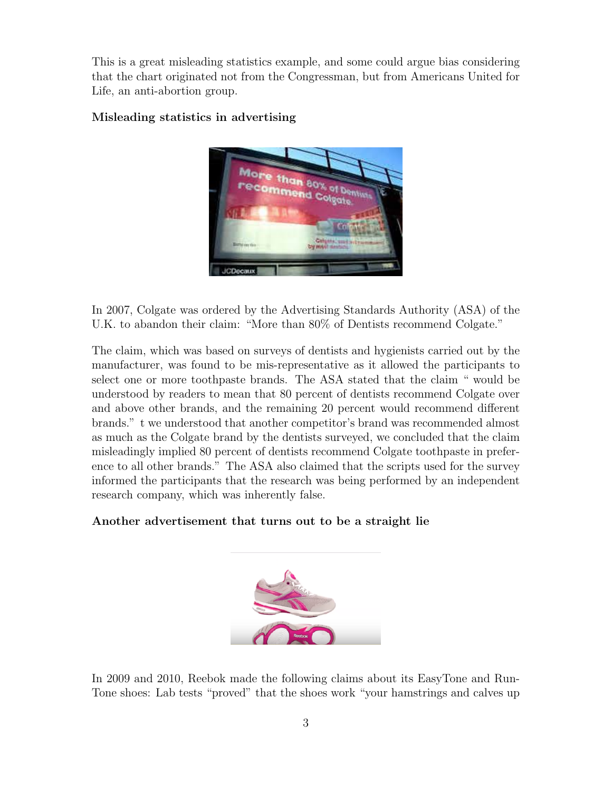This is a great misleading statistics example, and some could argue bias considering that the chart originated not from the Congressman, but from Americans United for Life, an anti-abortion group.

#### Misleading statistics in advertising



In 2007, Colgate was ordered by the Advertising Standards Authority (ASA) of the U.K. to abandon their claim: "More than 80% of Dentists recommend Colgate."

The claim, which was based on surveys of dentists and hygienists carried out by the manufacturer, was found to be mis-representative as it allowed the participants to select one or more toothpaste brands. The ASA stated that the claim " would be understood by readers to mean that 80 percent of dentists recommend Colgate over and above other brands, and the remaining 20 percent would recommend different brands." t we understood that another competitor's brand was recommended almost as much as the Colgate brand by the dentists surveyed, we concluded that the claim misleadingly implied 80 percent of dentists recommend Colgate toothpaste in preference to all other brands." The ASA also claimed that the scripts used for the survey informed the participants that the research was being performed by an independent research company, which was inherently false.

#### Another advertisement that turns out to be a straight lie



In 2009 and 2010, Reebok made the following claims about its EasyTone and Run-Tone shoes: Lab tests "proved" that the shoes work "your hamstrings and calves up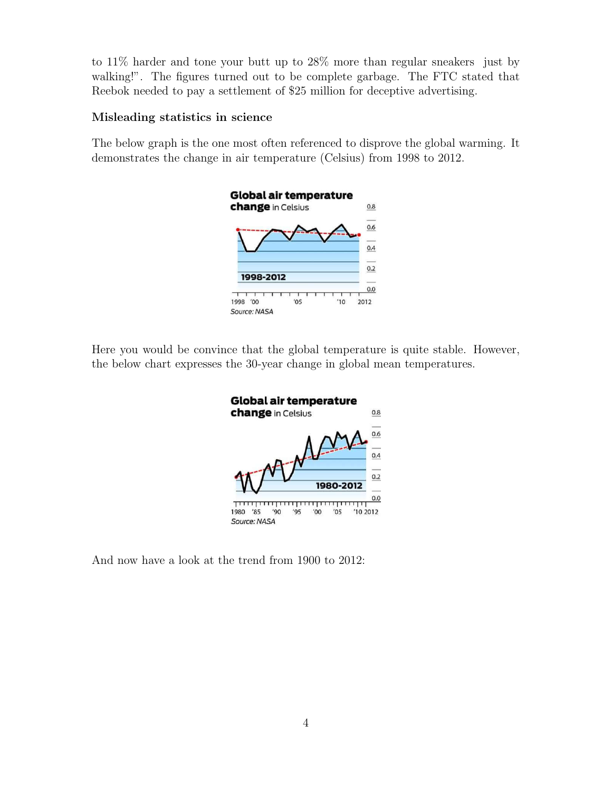to 11% harder and tone your butt up to 28% more than regular sneakers just by walking!". The figures turned out to be complete garbage. The FTC stated that Reebok needed to pay a settlement of \$25 million for deceptive advertising.

#### Misleading statistics in science

The below graph is the one most often referenced to disprove the global warming. It demonstrates the change in air temperature (Celsius) from 1998 to 2012.



Here you would be convince that the global temperature is quite stable. However, the below chart expresses the 30-year change in global mean temperatures.



And now have a look at the trend from 1900 to 2012: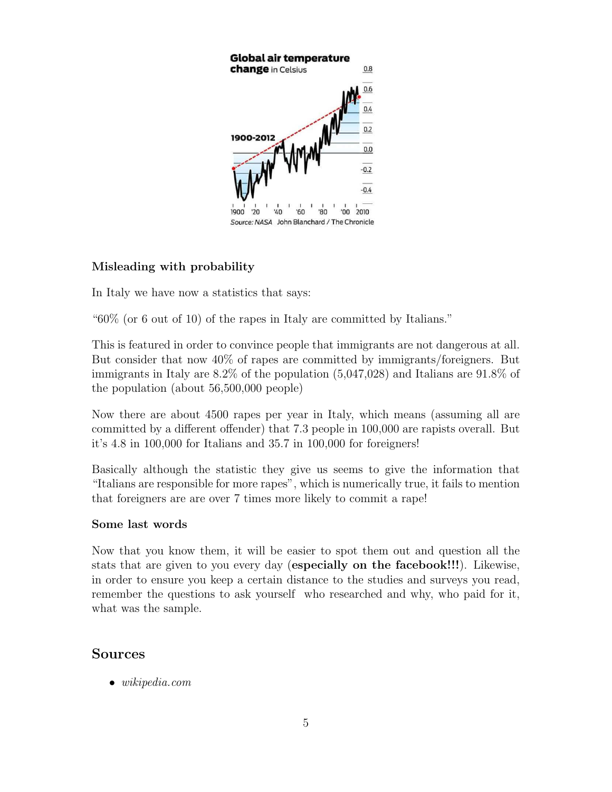

## Misleading with probability

In Italy we have now a statistics that says:

"60% (or 6 out of 10) of the rapes in Italy are committed by Italians."

This is featured in order to convince people that immigrants are not dangerous at all. But consider that now 40% of rapes are committed by immigrants/foreigners. But immigrants in Italy are 8.2% of the population (5,047,028) and Italians are 91.8% of the population (about 56,500,000 people)

Now there are about 4500 rapes per year in Italy, which means (assuming all are committed by a different offender) that 7.3 people in 100,000 are rapists overall. But it's 4.8 in 100,000 for Italians and 35.7 in 100,000 for foreigners!

Basically although the statistic they give us seems to give the information that "Italians are responsible for more rapes", which is numerically true, it fails to mention that foreigners are are over 7 times more likely to commit a rape!

#### Some last words

Now that you know them, it will be easier to spot them out and question all the stats that are given to you every day (especially on the facebook!!!). Likewise, in order to ensure you keep a certain distance to the studies and surveys you read, remember the questions to ask yourself who researched and why, who paid for it, what was the sample.

### Sources

• *wikipedia.com*